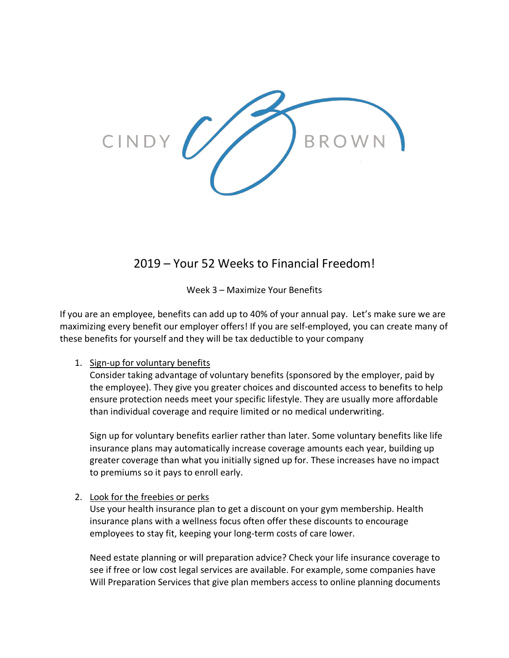

# 2019 – Your 52 Weeks to Financial Freedom!

Week 3 – Maximize Your Benefits

If you are an employee, benefits can add up to 40% of your annual pay. Let's make sure we are maximizing every benefit our employer offers! If you are self-employed, you can create many of these benefits for yourself and they will be tax deductible to your company

# 1. Sign-up for voluntary benefits

Consider taking advantage of voluntary benefits (sponsored by the employer, paid by the employee). They give you greater choices and discounted access to benefits to help ensure protection needs meet your specific lifestyle. They are usually more affordable than individual coverage and require limited or no medical underwriting.

Sign up for voluntary benefits earlier rather than later. Some voluntary benefits like life insurance plans may automatically increase coverage amounts each year, building up greater coverage than what you initially signed up for. These increases have no impact to premiums so it pays to enroll early.

# 2. Look for the freebies or perks

Use your health insurance plan to get a discount on your gym membership. Health insurance plans with a wellness focus often offer these discounts to encourage employees to stay fit, keeping your long-term costs of care lower.

Need estate planning or will preparation advice? Check your life insurance coverage to see if free or low cost legal services are available. For example, some companies have Will Preparation Services that give plan members access to online planning documents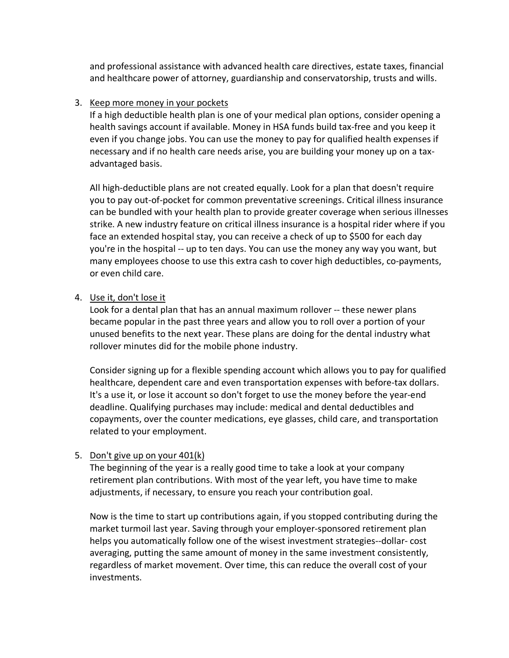and professional assistance with advanced health care directives, estate taxes, financial and healthcare power of attorney, guardianship and conservatorship, trusts and wills.

#### 3. Keep more money in your pockets

If a high deductible health plan is one of your medical plan options, consider opening a health savings account if available. Money in HSA funds build tax-free and you keep it even if you change jobs. You can use the money to pay for qualified health expenses if necessary and if no health care needs arise, you are building your money up on a taxadvantaged basis.

All high-deductible plans are not created equally. Look for a plan that doesn't require you to pay out-of-pocket for common preventative screenings. Critical illness insurance can be bundled with your health plan to provide greater coverage when serious illnesses strike. A new industry feature on critical illness insurance is a hospital rider where if you face an extended hospital stay, you can receive a check of up to \$500 for each day you're in the hospital -- up to ten days. You can use the money any way you want, but many employees choose to use this extra cash to cover high deductibles, co-payments, or even child care.

#### 4. Use it, don't lose it

Look for a dental plan that has an annual maximum rollover -- these newer plans became popular in the past three years and allow you to roll over a portion of your unused benefits to the next year. These plans are doing for the dental industry what rollover minutes did for the mobile phone industry.

Consider signing up for a flexible spending account which allows you to pay for qualified healthcare, dependent care and even transportation expenses with before-tax dollars. It's a use it, or lose it account so don't forget to use the money before the year-end deadline. Qualifying purchases may include: medical and dental deductibles and copayments, over the counter medications, eye glasses, child care, and transportation related to your employment.

# 5. Don't give up on your 401(k)

The beginning of the year is a really good time to take a look at your company retirement plan contributions. With most of the year left, you have time to make adjustments, if necessary, to ensure you reach your contribution goal.

Now is the time to start up contributions again, if you stopped contributing during the market turmoil last year. Saving through your employer-sponsored retirement plan helps you automatically follow one of the wisest investment strategies--dollar- cost averaging, putting the same amount of money in the same investment consistently, regardless of market movement. Over time, this can reduce the overall cost of your investments.